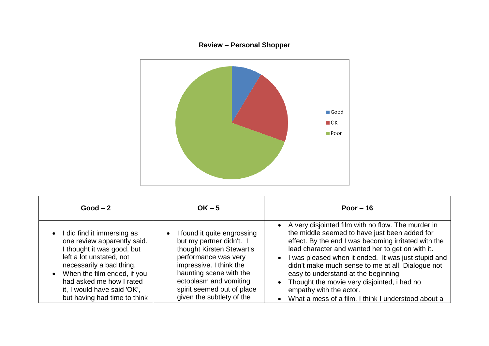## **Review – Personal Shopper**



| $Good - 2$                                                                                                                                                                                                                                                                | $OK - 5$                                                                                                                                                                                                                                                  | Poor $-16$                                                                                                                                                                                                                                                                                                                                                                                                                                                                                                                                    |
|---------------------------------------------------------------------------------------------------------------------------------------------------------------------------------------------------------------------------------------------------------------------------|-----------------------------------------------------------------------------------------------------------------------------------------------------------------------------------------------------------------------------------------------------------|-----------------------------------------------------------------------------------------------------------------------------------------------------------------------------------------------------------------------------------------------------------------------------------------------------------------------------------------------------------------------------------------------------------------------------------------------------------------------------------------------------------------------------------------------|
| I did find it immersing as<br>one review apparently said.<br>I thought it was good, but<br>left a lot unstated, not<br>necessarily a bad thing.<br>When the film ended, if you<br>had asked me how I rated<br>it, I would have said 'OK',<br>but having had time to think | • I found it quite engrossing<br>but my partner didn't. I<br>thought Kirsten Stewart's<br>performance was very<br>impressive. I think the<br>haunting scene with the<br>ectoplasm and vomiting<br>spirit seemed out of place<br>given the subtlety of the | • A very disjointed film with no flow. The murder in<br>the middle seemed to have just been added for<br>effect. By the end I was becoming irritated with the<br>lead character and wanted her to get on with it.<br>I was pleased when it ended. It was just stupid and<br>$\bullet$<br>didn't make much sense to me at all. Dialogue not<br>easy to understand at the beginning.<br>Thought the movie very disjointed, i had no<br>$\bullet$<br>empathy with the actor.<br>What a mess of a film. I think I understood about a<br>$\bullet$ |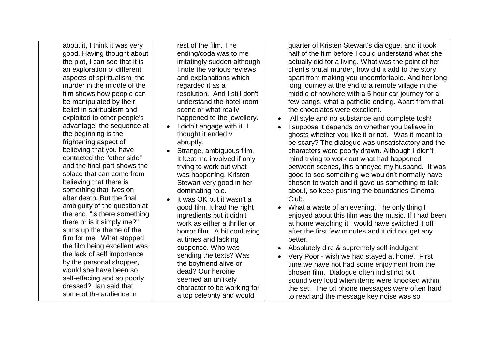about it, I think it was very good. Having thought about the plot, I can see that it is an exploration of different aspects of spiritualism: the murder in the middle of the film shows how people can be manipulated by their belief in spiritualism and exploited to other people's advantage, the sequence at the beginning is the frightening aspect of believing that you have contacted the "other side" and the final part shows the solace that can come from believing that there is something that lives on after death. But the final ambiguity of the question at the end, "is there something there or is it simply me?" sums up the theme of the film for me. What stopped the film being excellent was the lack of self importance by the personal shopper, would she have been so self-effacing and so poorly dressed? Ian said that some of the audience in

rest of the film. The ending/coda was to me irritatingly sudden although I note the various reviews and explanations which regarded it as a resolution. And I still don't understand the hotel room scene or what really happened to the jewellery.

- I didn't engage with it. I thought it ended v abruptly.
- Strange, ambiguous film. It kept me involved if only trying to work out what was happening. Kristen Stewart very good in her dominating role.
- It was OK but it wasn't a good film. It had the right ingredients but it didn't work as either a thriller or horror film. A bit confusing at times and lacking suspense. Who was sending the texts? Was the boyfriend alive or dead? Our heroine seemed an unlikely character to be working for a top celebrity and would

quarter of Kristen Stewart's dialogue, and it took half of the film before I could understand what she actually did for a living. What was the point of her client's brutal murder, how did it add to the story apart from making you uncomfortable. And her long long journey at the end to a remote village in the middle of nowhere with a 5 hour car journey for a few bangs, what a pathetic ending. Apart from that the chocolates were excellent.

- All style and no substance and complete tosh!
- I suppose it depends on whether you believe in ghosts whether you like it or not. Was it meant to be scary? The dialogue was unsatisfactory and the characters were poorly drawn. Although I didn't mind trying to work out what had happened between scenes, this annoyed my husband. It was good to see something we wouldn't normally have chosen to watch and it gave us something to talk about, so keep pushing the boundaries Cinema Club.
- What a waste of an evening. The only thing I enjoyed about this film was the music. If I had been at home watching it I would have switched it off after the first few minutes and it did not get any better.
- Absolutely dire & supremely self-indulgent.
- Very Poor wish we had stayed at home. First time we have not had some enjoyment from the chosen film. Dialogue often indistinct but sound very loud when items were knocked within the set. The txt phone messages were often hard to read and the message key noise was so